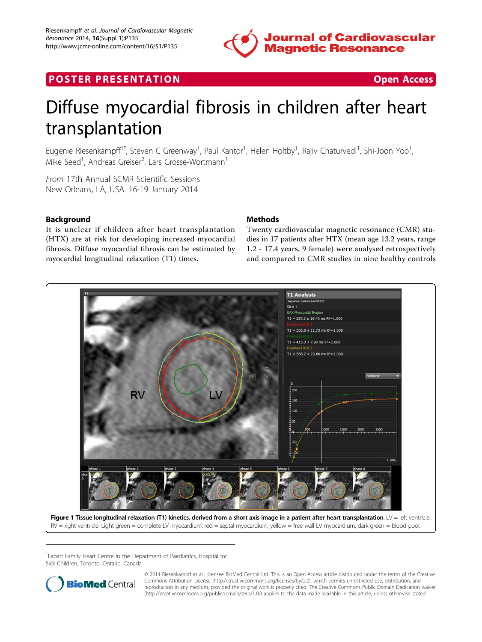

## **POSTER PRESENTATION CONSUMING THE SECOND CONSUMING THE SECOND CONSUMING THE SECOND CONSUMING THE SECOND CONSUMING THE SECOND CONSUMING THE SECOND CONSUMING THE SECOND CONSUMING THE SECOND CONSUMING THE SECOND CONSUMING**



# Diffuse myocardial fibrosis in children after heart transplantation

Eugenie Riesenkampff<sup>1\*</sup>, Steven C Greenway<sup>1</sup>, Paul Kantor<sup>1</sup>, Helen Holtby<sup>1</sup>, Rajiv Chaturvedi<sup>1</sup>, Shi-Joon Yoo<sup>1</sup> , Mike Seed<sup>1</sup>, Andreas Greiser<sup>2</sup>, Lars Grosse-Wortmann<sup>1</sup>

From 17th Annual SCMR Scientific Sessions New Orleans, LA, USA. 16-19 January 2014

### Background

It is unclear if children after heart transplantation (HTX) are at risk for developing increased myocardial fibrosis. Diffuse myocardial fibrosis can be estimated by myocardial longitudinal relaxation (T1) times.

#### Methods

Twenty cardiovascular magnetic resonance (CMR) studies in 17 patients after HTX (mean age 13.2 years, range 1.2 - 17.4 years, 9 female) were analysed retrospectively and compared to CMR studies in nine healthy controls



<sup>1</sup> Labatt Family Heart Centre in the Department of Paediatrics, Hospital for Sick Children, Toronto, Ontario, Canada



© 2014 Riesenkampff et al.; licensee BioMed Central Ltd. This is an Open Access article distributed under the terms of the Creative Commons Attribution License [\(http://creativecommons.org/licenses/by/2.0](http://creativecommons.org/licenses/by/2.0)), which permits unrestricted use, distribution, and reproduction in any medium, provided the original work is properly cited. The Creative Commons Public Domain Dedication waiver [\(http://creativecommons.org/publicdomain/zero/1.0/](http://creativecommons.org/publicdomain/zero/1.0/)) applies to the data made available in this article, unless otherwise stated.